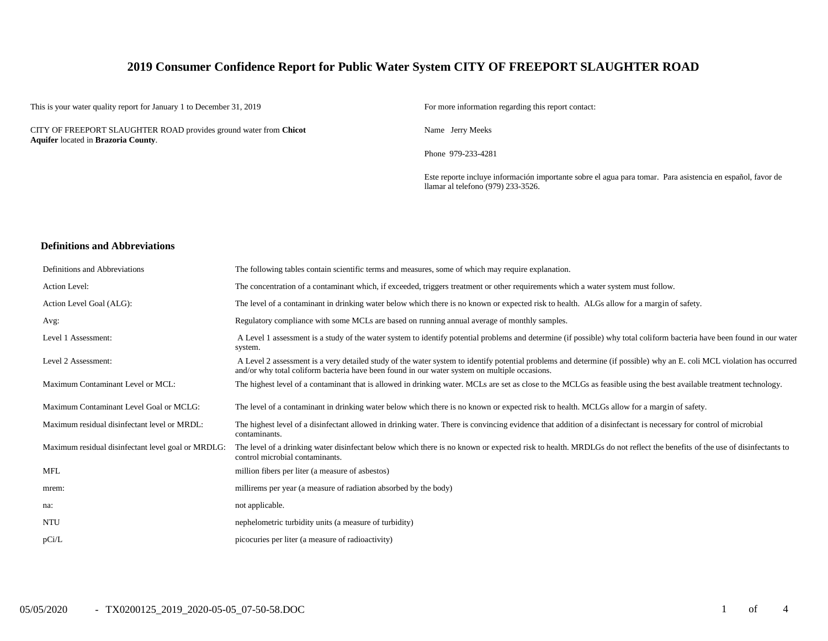### **2019 Consumer Confidence Report for Public Water System CITY OF FREEPORT SLAUGHTER ROAD**

This is your water quality report for January 1 to December 31, 2019 For more information regarding this report contact:

CITY OF FREEPORT SLAUGHTER ROAD provides ground water from **Chicot Aquifer** located in **Brazoria County**.

Name Jerry Meeks

Phone 979-233-4281

Este reporte incluye información importante sobre el agua para tomar. Para asistencia en español, favor de llamar al telefono (979) 233-3526.

#### **Definitions and Abbreviations**

| Definitions and Abbreviations                      | The following tables contain scientific terms and measures, some of which may require explanation.                                                                                                                                                                      |
|----------------------------------------------------|-------------------------------------------------------------------------------------------------------------------------------------------------------------------------------------------------------------------------------------------------------------------------|
| Action Level:                                      | The concentration of a contaminant which, if exceeded, triggers treatment or other requirements which a water system must follow.                                                                                                                                       |
| Action Level Goal (ALG):                           | The level of a contaminant in drinking water below which there is no known or expected risk to health. ALGs allow for a margin of safety.                                                                                                                               |
| Avg:                                               | Regulatory compliance with some MCLs are based on running annual average of monthly samples.                                                                                                                                                                            |
| Level 1 Assessment:                                | A Level 1 assessment is a study of the water system to identify potential problems and determine (if possible) why total coliform bacteria have been found in our water<br>system.                                                                                      |
| Level 2 Assessment:                                | A Level 2 assessment is a very detailed study of the water system to identify potential problems and determine (if possible) why an E. coli MCL violation has occurred<br>and/or why total coliform bacteria have been found in our water system on multiple occasions. |
| Maximum Contaminant Level or MCL:                  | The highest level of a contaminant that is allowed in drinking water. MCLs are set as close to the MCLGs as feasible using the best available treatment technology.                                                                                                     |
| Maximum Contaminant Level Goal or MCLG:            | The level of a contaminant in drinking water below which there is no known or expected risk to health. MCLGs allow for a margin of safety.                                                                                                                              |
| Maximum residual disinfectant level or MRDL:       | The highest level of a disinfectant allowed in drinking water. There is convincing evidence that addition of a disinfectant is necessary for control of microbial<br>contaminants.                                                                                      |
| Maximum residual disinfectant level goal or MRDLG: | The level of a drinking water disinfectant below which there is no known or expected risk to health. MRDLGs do not reflect the benefits of the use of disinfectants to<br>control microbial contaminants.                                                               |
| <b>MFL</b>                                         | million fibers per liter (a measure of asbestos)                                                                                                                                                                                                                        |
| mrem:                                              | millirems per year (a measure of radiation absorbed by the body)                                                                                                                                                                                                        |
| na:                                                | not applicable.                                                                                                                                                                                                                                                         |
| <b>NTU</b>                                         | nephelometric turbidity units (a measure of turbidity)                                                                                                                                                                                                                  |
| pCi/L                                              | picocuries per liter (a measure of radioactivity)                                                                                                                                                                                                                       |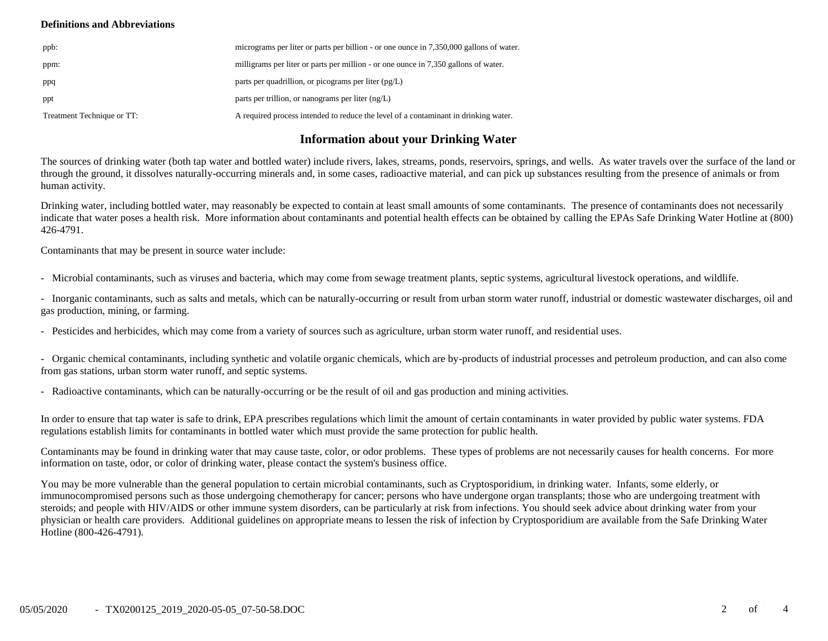### **Definitions and Abbreviations**

| ppb:                       | micrograms per liter or parts per billion - or one ounce in 7,350,000 gallons of water. |
|----------------------------|-----------------------------------------------------------------------------------------|
| ppm:                       | milligrams per liter or parts per million - or one ounce in 7,350 gallons of water.     |
| ppq                        | parts per quadrillion, or picograms per liter $(pg/L)$                                  |
| ppt                        | parts per trillion, or nanograms per liter $(ng/L)$                                     |
| Treatment Technique or TT: | A required process intended to reduce the level of a contaminant in drinking water.     |

## **Information about your Drinking Water**

The sources of drinking water (both tap water and bottled water) include rivers, lakes, streams, ponds, reservoirs, springs, and wells. As water travels over the surface of the land or through the ground, it dissolves naturally-occurring minerals and, in some cases, radioactive material, and can pick up substances resulting from the presence of animals or from human activity.

Drinking water, including bottled water, may reasonably be expected to contain at least small amounts of some contaminants. The presence of contaminants does not necessarily indicate that water poses a health risk. More information about contaminants and potential health effects can be obtained by calling the EPAs Safe Drinking Water Hotline at (800) 426-4791.

Contaminants that may be present in source water include:

- Microbial contaminants, such as viruses and bacteria, which may come from sewage treatment plants, septic systems, agricultural livestock operations, and wildlife.

- Inorganic contaminants, such as salts and metals, which can be naturally-occurring or result from urban storm water runoff, industrial or domestic wastewater discharges, oil and gas production, mining, or farming.

- Pesticides and herbicides, which may come from a variety of sources such as agriculture, urban storm water runoff, and residential uses.

- Organic chemical contaminants, including synthetic and volatile organic chemicals, which are by-products of industrial processes and petroleum production, and can also come from gas stations, urban storm water runoff, and septic systems.

- Radioactive contaminants, which can be naturally-occurring or be the result of oil and gas production and mining activities.

In order to ensure that tap water is safe to drink, EPA prescribes regulations which limit the amount of certain contaminants in water provided by public water systems. FDA regulations establish limits for contaminants in bottled water which must provide the same protection for public health.

Contaminants may be found in drinking water that may cause taste, color, or odor problems. These types of problems are not necessarily causes for health concerns. For more information on taste, odor, or color of drinking water, please contact the system's business office.

You may be more vulnerable than the general population to certain microbial contaminants, such as Cryptosporidium, in drinking water. Infants, some elderly, or immunocompromised persons such as those undergoing chemotherapy for cancer; persons who have undergone organ transplants; those who are undergoing treatment with steroids; and people with HIV/AIDS or other immune system disorders, can be particularly at risk from infections. You should seek advice about drinking water from your physician or health care providers. Additional guidelines on appropriate means to lessen the risk of infection by Cryptosporidium are available from the Safe Drinking Water Hotline (800-426-4791).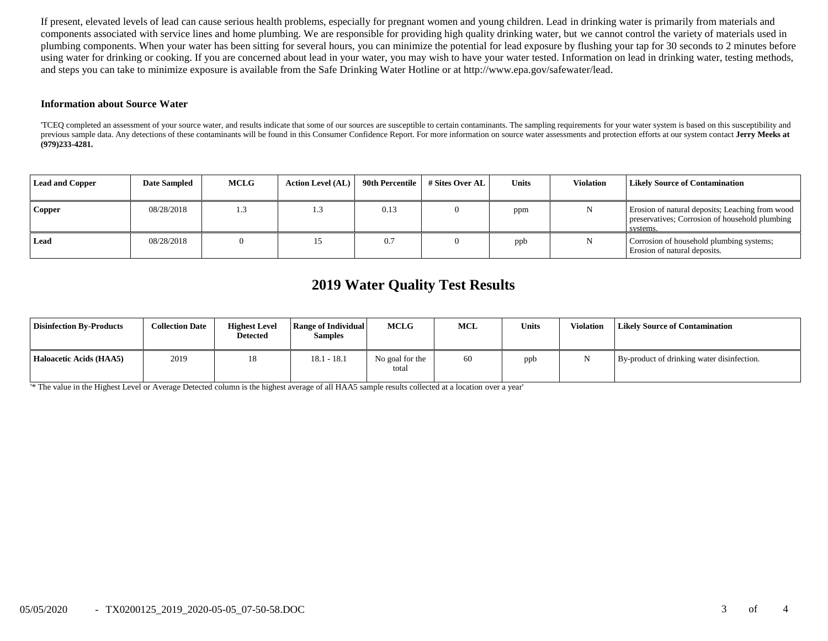If present, elevated levels of lead can cause serious health problems, especially for pregnant women and young children. Lead in drinking water is primarily from materials and components associated with service lines and home plumbing. We are responsible for providing high quality drinking water, but we cannot control the variety of materials used in plumbing components. When your water has been sitting for several hours, you can minimize the potential for lead exposure by flushing your tap for 30 seconds to 2 minutes before using water for drinking or cooking. If you are concerned about lead in your water, you may wish to have your water tested. Information on lead in drinking water, testing methods, and steps you can take to minimize exposure is available from the Safe Drinking Water Hotline or at http://www.epa.gov/safewater/lead.

#### **Information about Source Water**

'TCEQ completed an assessment of your source water, and results indicate that some of our sources are susceptible to certain contaminants. The sampling requirements for your water system is based on this susceptibility and previous sample data. Any detections of these contaminants will be found in this Consumer Confidence Report. For more information on source water assessments and protection efforts at our system contact Jerry Meeks at **(979)233-4281.**

| <b>Lead and Copper</b> | <b>Date Sampled</b> | <b>MCLG</b> | <b>Action Level (AL)</b> | 90th Percentile | # Sites Over AL | Units | <b>Violation</b> | <b>Likely Source of Contamination</b>                                                                         |
|------------------------|---------------------|-------------|--------------------------|-----------------|-----------------|-------|------------------|---------------------------------------------------------------------------------------------------------------|
| <b>Copper</b>          | 08/28/2018          | 1.3         |                          | 0.13            |                 | ppm   |                  | Erosion of natural deposits; Leaching from wood<br>preservatives; Corrosion of household plumbing<br>systems. |
| Lead                   | 08/28/2018          |             |                          | 0.7             |                 | ppb   |                  | Corrosion of household plumbing systems;<br>Erosion of natural deposits.                                      |

# **2019 Water Quality Test Results**

| <b>Disinfection By-Products</b> | <b>Collection Date</b> | <b>Highest Level</b><br><b>Detected</b> | Range of Individual<br><b>Samples</b> | <b>MCLG</b>              | <b>MCL</b> | <b>Units</b> | <b>Violation</b> | <b>Likely Source of Contamination</b>      |
|---------------------------------|------------------------|-----------------------------------------|---------------------------------------|--------------------------|------------|--------------|------------------|--------------------------------------------|
| Haloacetic Acids (HAA5)         | 2019                   | 18                                      | $18.1 - 18.1$                         | No goal for the<br>total | 60         | ppb          |                  | By-product of drinking water disinfection. |

'\* The value in the Highest Level or Average Detected column is the highest average of all HAA5 sample results collected at a location over a year'